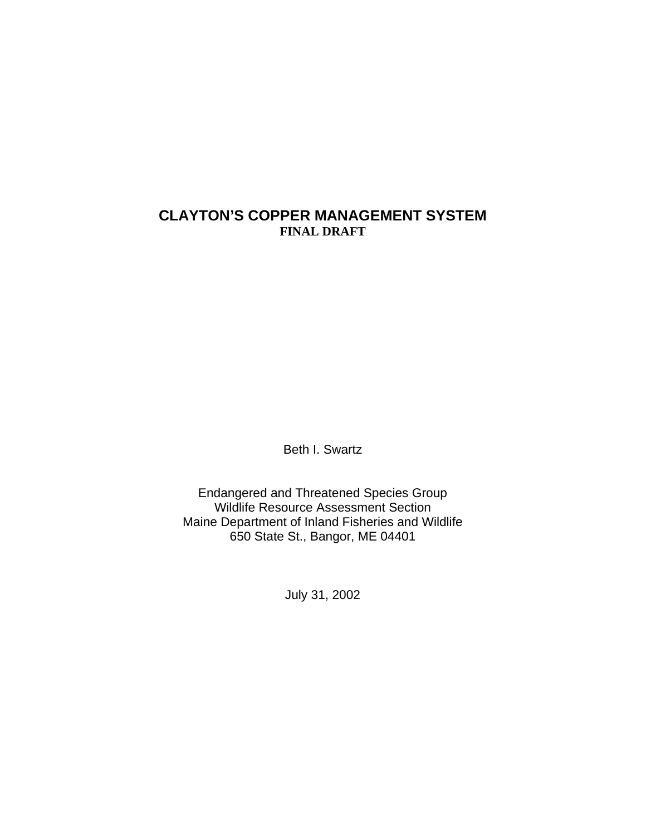## **CLAYTON'S COPPER MANAGEMENT SYSTEM FINAL DRAFT**

Beth I. Swartz

Endangered and Threatened Species Group Wildlife Resource Assessment Section Maine Department of Inland Fisheries and Wildlife 650 State St., Bangor, ME 04401

July 31, 2002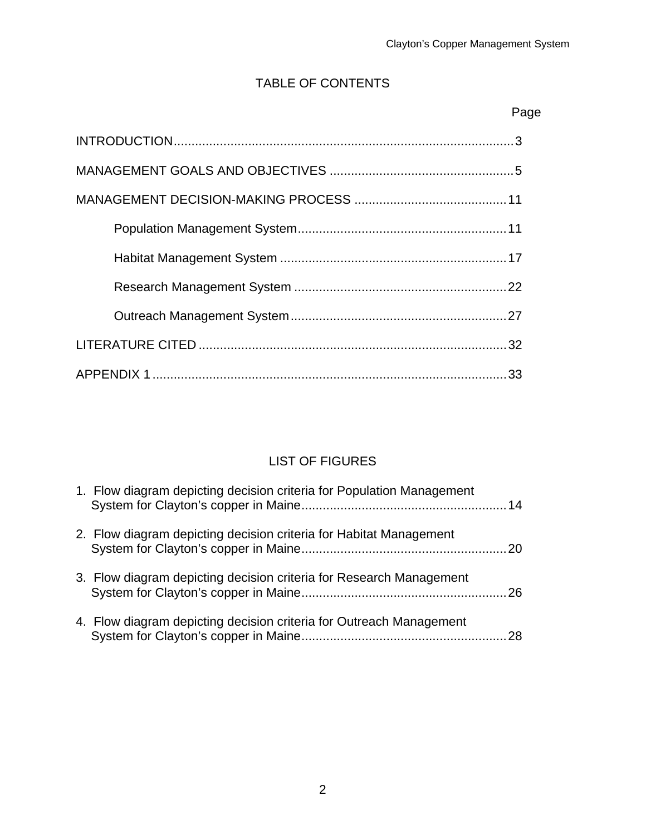## TABLE OF CONTENTS

| Page |
|------|
|      |
|      |
|      |
|      |
|      |
|      |
|      |
|      |
|      |

## LIST OF FIGURES

| 1. Flow diagram depicting decision criteria for Population Management |  |
|-----------------------------------------------------------------------|--|
| 2. Flow diagram depicting decision criteria for Habitat Management    |  |
| 3. Flow diagram depicting decision criteria for Research Management   |  |
| 4. Flow diagram depicting decision criteria for Outreach Management   |  |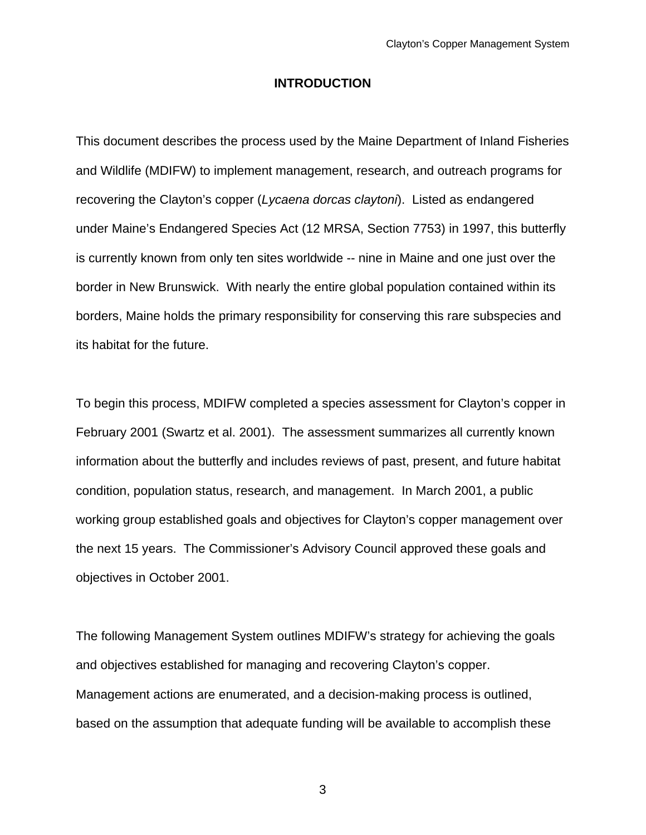#### **INTRODUCTION**

This document describes the process used by the Maine Department of Inland Fisheries and Wildlife (MDIFW) to implement management, research, and outreach programs for recovering the Clayton's copper (*Lycaena dorcas claytoni*). Listed as endangered under Maine's Endangered Species Act (12 MRSA, Section 7753) in 1997, this butterfly is currently known from only ten sites worldwide -- nine in Maine and one just over the border in New Brunswick. With nearly the entire global population contained within its borders, Maine holds the primary responsibility for conserving this rare subspecies and its habitat for the future.

To begin this process, MDIFW completed a species assessment for Clayton's copper in February 2001 (Swartz et al. 2001). The assessment summarizes all currently known information about the butterfly and includes reviews of past, present, and future habitat condition, population status, research, and management. In March 2001, a public working group established goals and objectives for Clayton's copper management over the next 15 years. The Commissioner's Advisory Council approved these goals and objectives in October 2001.

The following Management System outlines MDIFW's strategy for achieving the goals and objectives established for managing and recovering Clayton's copper. Management actions are enumerated, and a decision-making process is outlined, based on the assumption that adequate funding will be available to accomplish these

3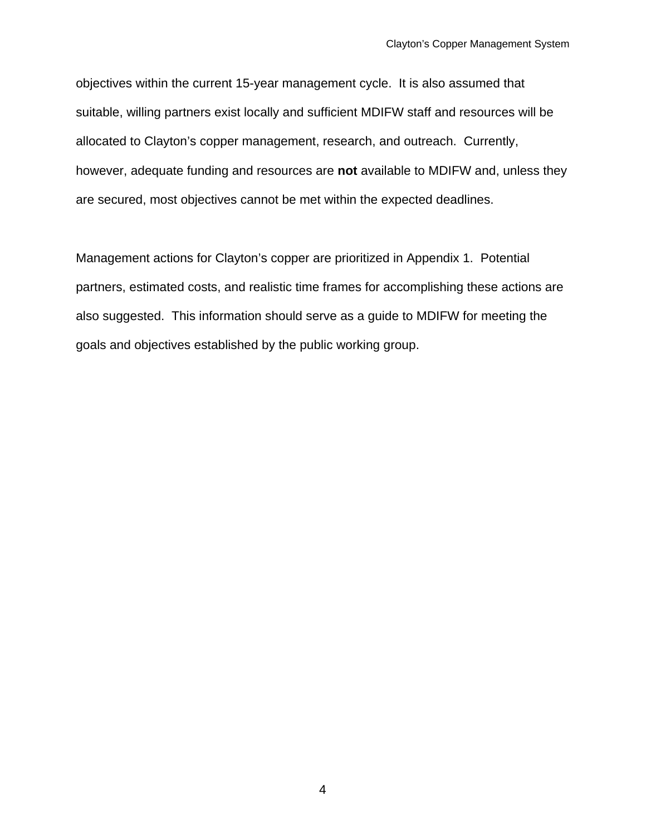objectives within the current 15-year management cycle. It is also assumed that suitable, willing partners exist locally and sufficient MDIFW staff and resources will be allocated to Clayton's copper management, research, and outreach. Currently, however, adequate funding and resources are **not** available to MDIFW and, unless they are secured, most objectives cannot be met within the expected deadlines.

Management actions for Clayton's copper are prioritized in Appendix 1. Potential partners, estimated costs, and realistic time frames for accomplishing these actions are also suggested. This information should serve as a guide to MDIFW for meeting the goals and objectives established by the public working group.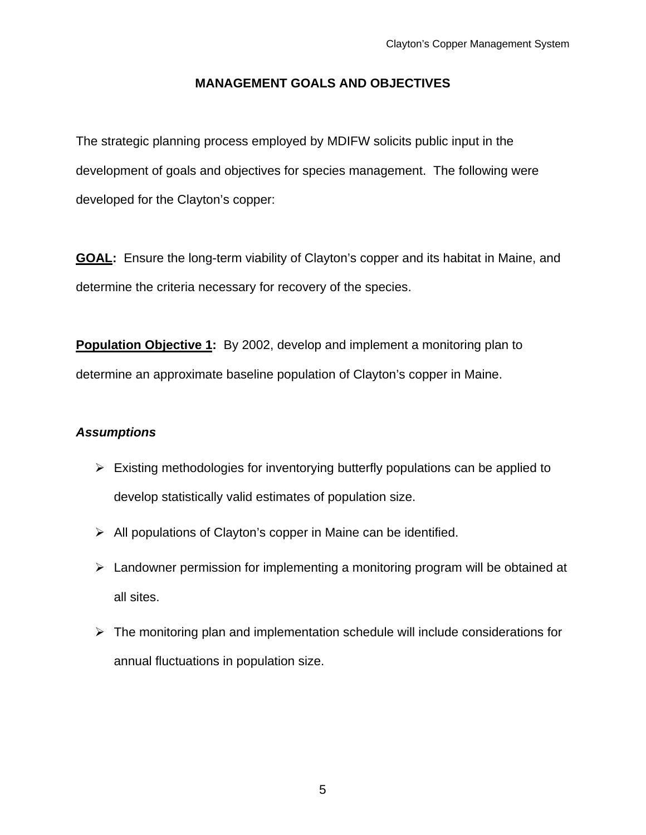## **MANAGEMENT GOALS AND OBJECTIVES**

The strategic planning process employed by MDIFW solicits public input in the development of goals and objectives for species management. The following were developed for the Clayton's copper:

**GOAL:** Ensure the long-term viability of Clayton's copper and its habitat in Maine, and determine the criteria necessary for recovery of the species.

**Population Objective 1:** By 2002, develop and implement a monitoring plan to determine an approximate baseline population of Clayton's copper in Maine.

- $\triangleright$  Existing methodologies for inventorying butterfly populations can be applied to develop statistically valid estimates of population size.
- $\triangleright$  All populations of Clayton's copper in Maine can be identified.
- $\triangleright$  Landowner permission for implementing a monitoring program will be obtained at all sites.
- $\triangleright$  The monitoring plan and implementation schedule will include considerations for annual fluctuations in population size.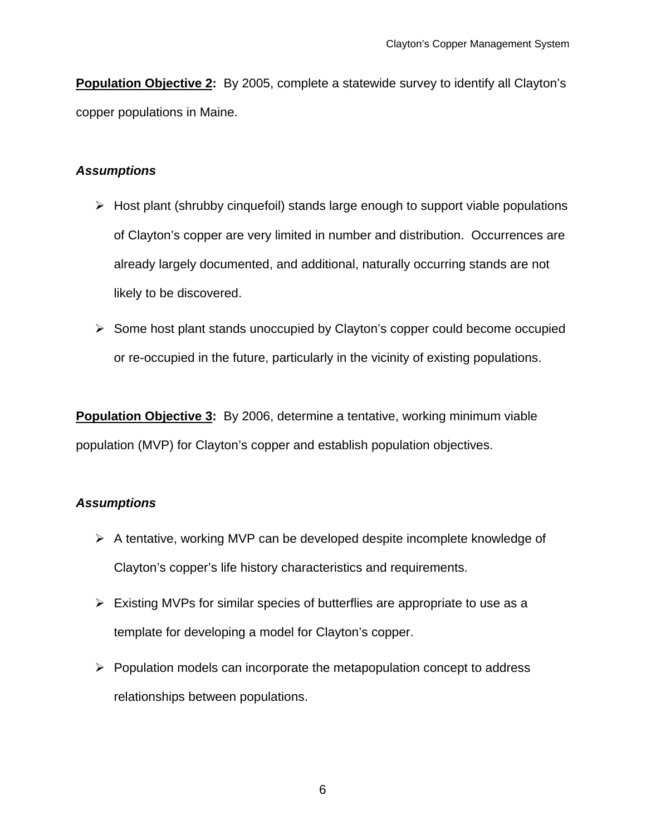**Population Objective 2:** By 2005, complete a statewide survey to identify all Clayton's copper populations in Maine.

## *Assumptions*

- $\triangleright$  Host plant (shrubby cinquefoil) stands large enough to support viable populations of Clayton's copper are very limited in number and distribution. Occurrences are already largely documented, and additional, naturally occurring stands are not likely to be discovered.
- ¾ Some host plant stands unoccupied by Clayton's copper could become occupied or re-occupied in the future, particularly in the vicinity of existing populations.

**Population Objective 3:** By 2006, determine a tentative, working minimum viable population (MVP) for Clayton's copper and establish population objectives.

- ¾ A tentative, working MVP can be developed despite incomplete knowledge of Clayton's copper's life history characteristics and requirements.
- $\triangleright$  Existing MVPs for similar species of butterflies are appropriate to use as a template for developing a model for Clayton's copper.
- $\triangleright$  Population models can incorporate the metapopulation concept to address relationships between populations.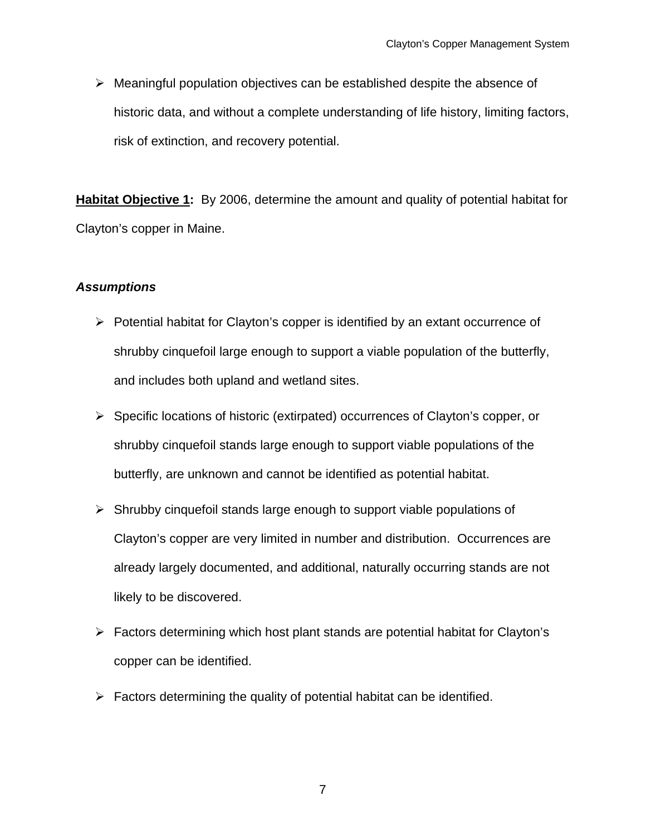$\triangleright$  Meaningful population objectives can be established despite the absence of historic data, and without a complete understanding of life history, limiting factors, risk of extinction, and recovery potential.

**Habitat Objective 1:** By 2006, determine the amount and quality of potential habitat for Clayton's copper in Maine.

- $\triangleright$  Potential habitat for Clayton's copper is identified by an extant occurrence of shrubby cinquefoil large enough to support a viable population of the butterfly, and includes both upland and wetland sites.
- ¾ Specific locations of historic (extirpated) occurrences of Clayton's copper, or shrubby cinquefoil stands large enough to support viable populations of the butterfly, are unknown and cannot be identified as potential habitat.
- $\triangleright$  Shrubby cinquefoil stands large enough to support viable populations of Clayton's copper are very limited in number and distribution. Occurrences are already largely documented, and additional, naturally occurring stands are not likely to be discovered.
- $\triangleright$  Factors determining which host plant stands are potential habitat for Clayton's copper can be identified.
- $\triangleright$  Factors determining the quality of potential habitat can be identified.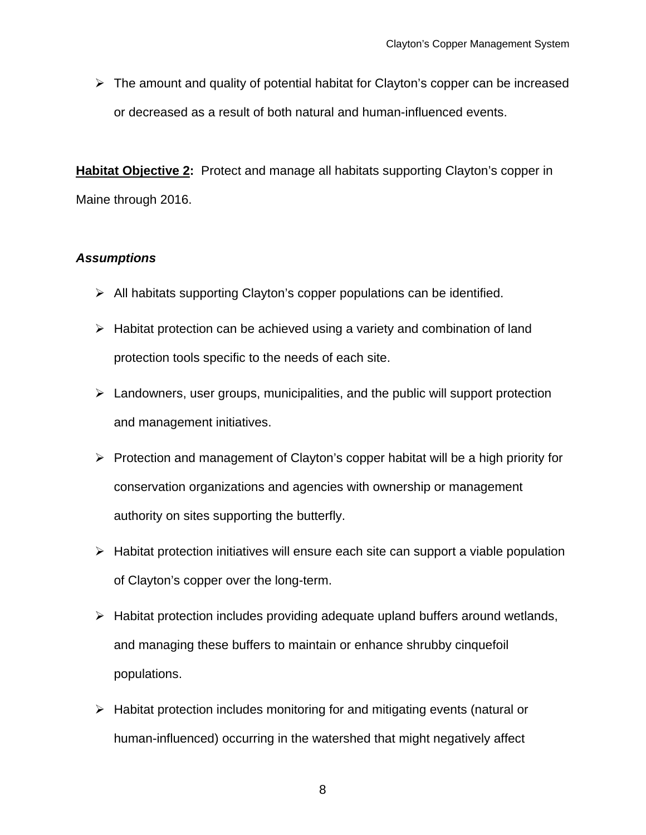$\triangleright$  The amount and quality of potential habitat for Clayton's copper can be increased or decreased as a result of both natural and human-influenced events.

**Habitat Objective 2:** Protect and manage all habitats supporting Clayton's copper in Maine through 2016.

- $\triangleright$  All habitats supporting Clayton's copper populations can be identified.
- $\triangleright$  Habitat protection can be achieved using a variety and combination of land protection tools specific to the needs of each site.
- $\triangleright$  Landowners, user groups, municipalities, and the public will support protection and management initiatives.
- ¾ Protection and management of Clayton's copper habitat will be a high priority for conservation organizations and agencies with ownership or management authority on sites supporting the butterfly.
- $\triangleright$  Habitat protection initiatives will ensure each site can support a viable population of Clayton's copper over the long-term.
- $\triangleright$  Habitat protection includes providing adequate upland buffers around wetlands, and managing these buffers to maintain or enhance shrubby cinquefoil populations.
- $\triangleright$  Habitat protection includes monitoring for and mitigating events (natural or human-influenced) occurring in the watershed that might negatively affect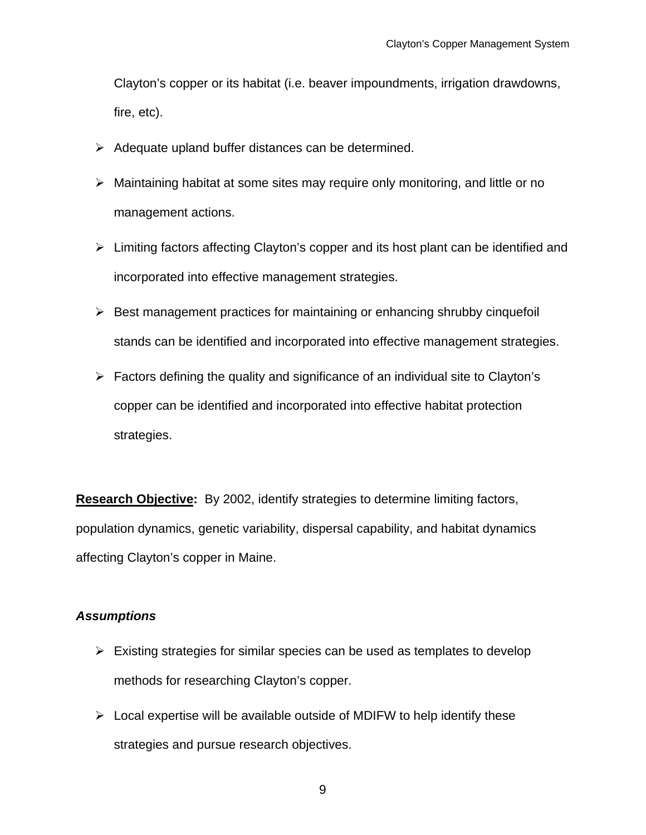Clayton's copper or its habitat (i.e. beaver impoundments, irrigation drawdowns, fire, etc).

- $\triangleright$  Adequate upland buffer distances can be determined.
- $\triangleright$  Maintaining habitat at some sites may require only monitoring, and little or no management actions.
- $\triangleright$  Limiting factors affecting Clayton's copper and its host plant can be identified and incorporated into effective management strategies.
- $\triangleright$  Best management practices for maintaining or enhancing shrubby cinquefoil stands can be identified and incorporated into effective management strategies.
- $\triangleright$  Factors defining the quality and significance of an individual site to Clayton's copper can be identified and incorporated into effective habitat protection strategies.

**Research Objective:** By 2002, identify strategies to determine limiting factors, population dynamics, genetic variability, dispersal capability, and habitat dynamics affecting Clayton's copper in Maine.

## *Assumptions*

- $\triangleright$  Existing strategies for similar species can be used as templates to develop methods for researching Clayton's copper.
- $\triangleright$  Local expertise will be available outside of MDIFW to help identify these strategies and pursue research objectives.

9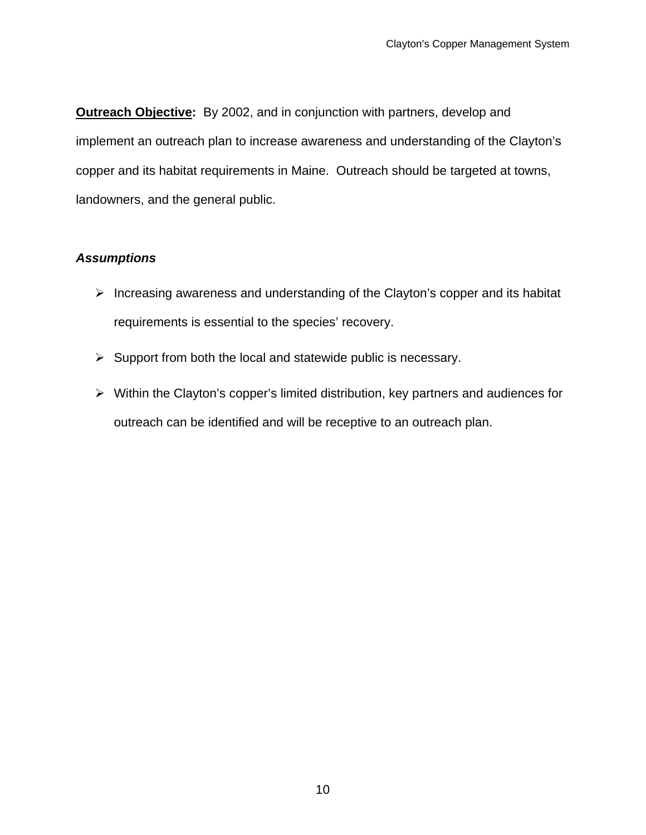**Outreach Objective:** By 2002, and in conjunction with partners, develop and implement an outreach plan to increase awareness and understanding of the Clayton's copper and its habitat requirements in Maine. Outreach should be targeted at towns, landowners, and the general public.

- $\triangleright$  Increasing awareness and understanding of the Clayton's copper and its habitat requirements is essential to the species' recovery.
- $\triangleright$  Support from both the local and statewide public is necessary.
- ¾ Within the Clayton's copper's limited distribution, key partners and audiences for outreach can be identified and will be receptive to an outreach plan.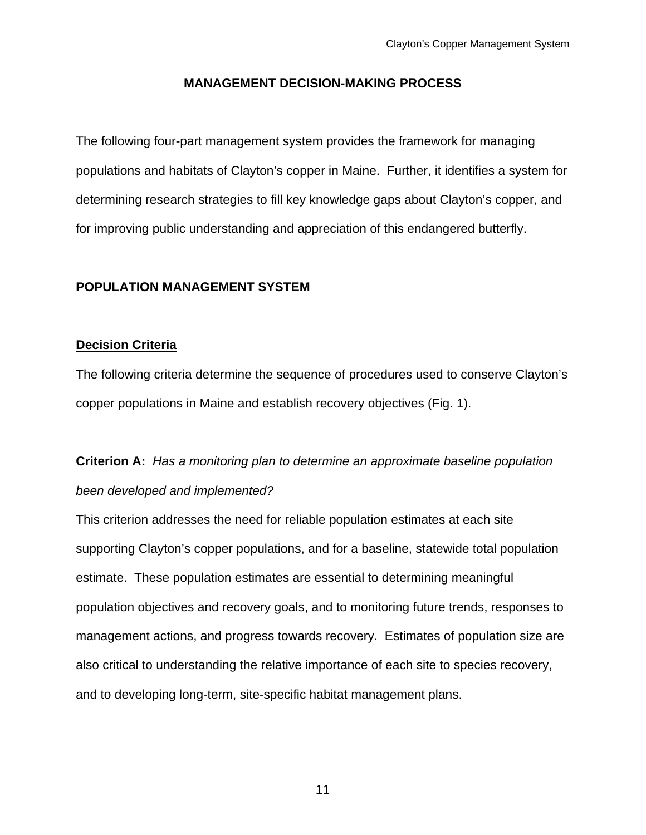## **MANAGEMENT DECISION-MAKING PROCESS**

The following four-part management system provides the framework for managing populations and habitats of Clayton's copper in Maine. Further, it identifies a system for determining research strategies to fill key knowledge gaps about Clayton's copper, and for improving public understanding and appreciation of this endangered butterfly.

## **POPULATION MANAGEMENT SYSTEM**

### **Decision Criteria**

The following criteria determine the sequence of procedures used to conserve Clayton's copper populations in Maine and establish recovery objectives (Fig. 1).

**Criterion A:** *Has a monitoring plan to determine an approximate baseline population been developed and implemented?*

This criterion addresses the need for reliable population estimates at each site supporting Clayton's copper populations, and for a baseline, statewide total population estimate. These population estimates are essential to determining meaningful population objectives and recovery goals, and to monitoring future trends, responses to management actions, and progress towards recovery. Estimates of population size are also critical to understanding the relative importance of each site to species recovery, and to developing long-term, site-specific habitat management plans.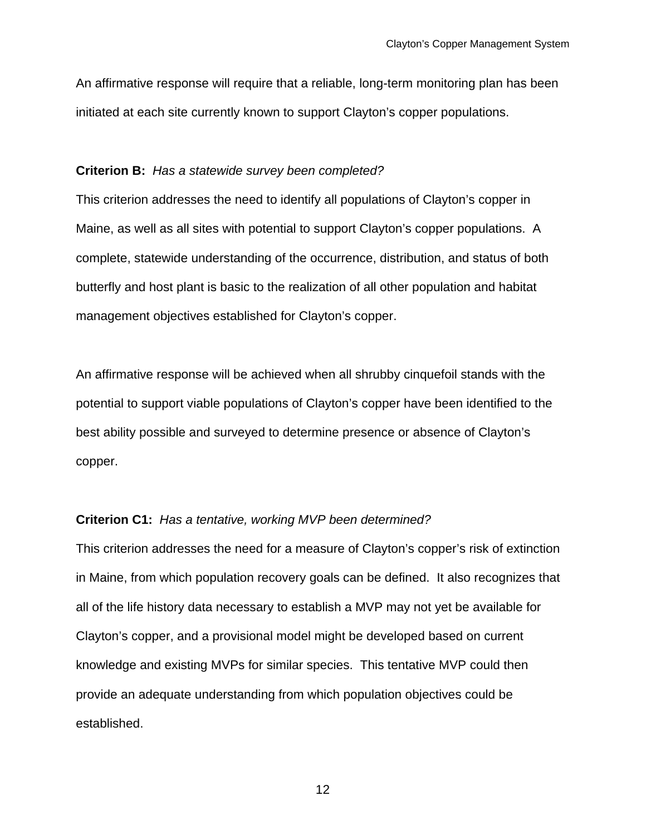An affirmative response will require that a reliable, long-term monitoring plan has been initiated at each site currently known to support Clayton's copper populations.

#### **Criterion B:** *Has a statewide survey been completed?*

This criterion addresses the need to identify all populations of Clayton's copper in Maine, as well as all sites with potential to support Clayton's copper populations. A complete, statewide understanding of the occurrence, distribution, and status of both butterfly and host plant is basic to the realization of all other population and habitat management objectives established for Clayton's copper.

An affirmative response will be achieved when all shrubby cinquefoil stands with the potential to support viable populations of Clayton's copper have been identified to the best ability possible and surveyed to determine presence or absence of Clayton's copper.

#### **Criterion C1:** *Has a tentative, working MVP been determined?*

This criterion addresses the need for a measure of Clayton's copper's risk of extinction in Maine, from which population recovery goals can be defined. It also recognizes that all of the life history data necessary to establish a MVP may not yet be available for Clayton's copper, and a provisional model might be developed based on current knowledge and existing MVPs for similar species. This tentative MVP could then provide an adequate understanding from which population objectives could be established.

12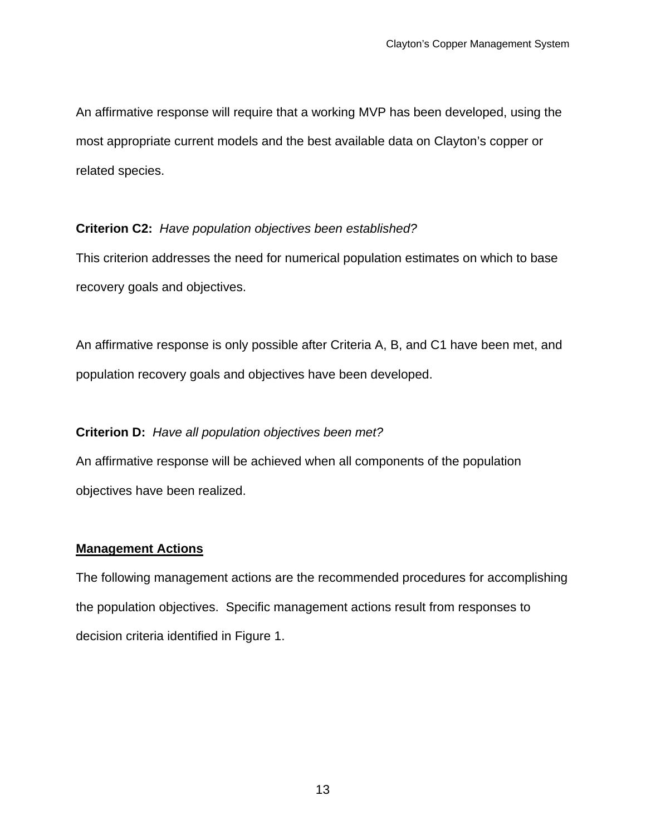An affirmative response will require that a working MVP has been developed, using the most appropriate current models and the best available data on Clayton's copper or related species.

## **Criterion C2:** *Have population objectives been established?*

This criterion addresses the need for numerical population estimates on which to base recovery goals and objectives.

An affirmative response is only possible after Criteria A, B, and C1 have been met, and population recovery goals and objectives have been developed.

## **Criterion D:** *Have all population objectives been met?*

An affirmative response will be achieved when all components of the population objectives have been realized.

### **Management Actions**

The following management actions are the recommended procedures for accomplishing the population objectives. Specific management actions result from responses to decision criteria identified in Figure 1.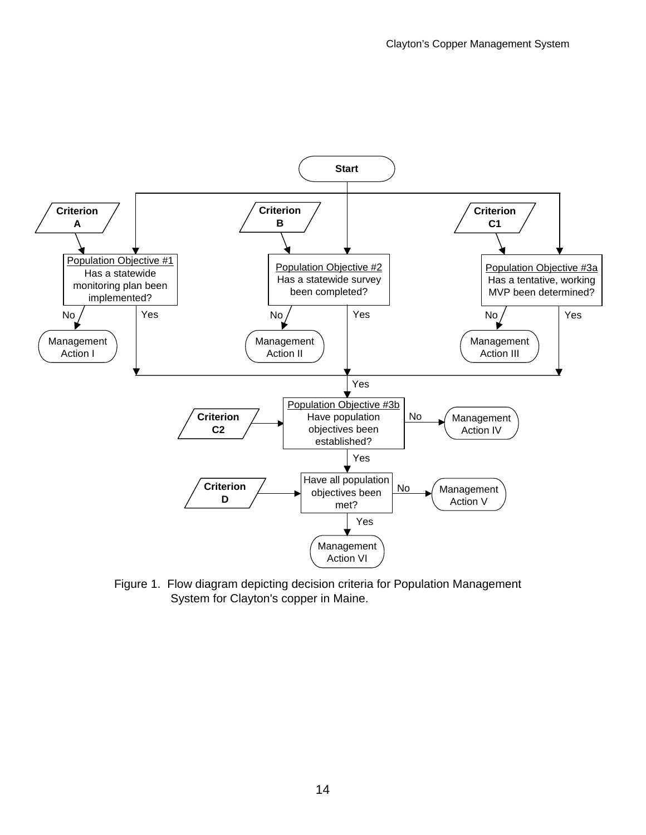

Figure 1. Flow diagram depicting decision criteria for Population Management System for Clayton's copper in Maine.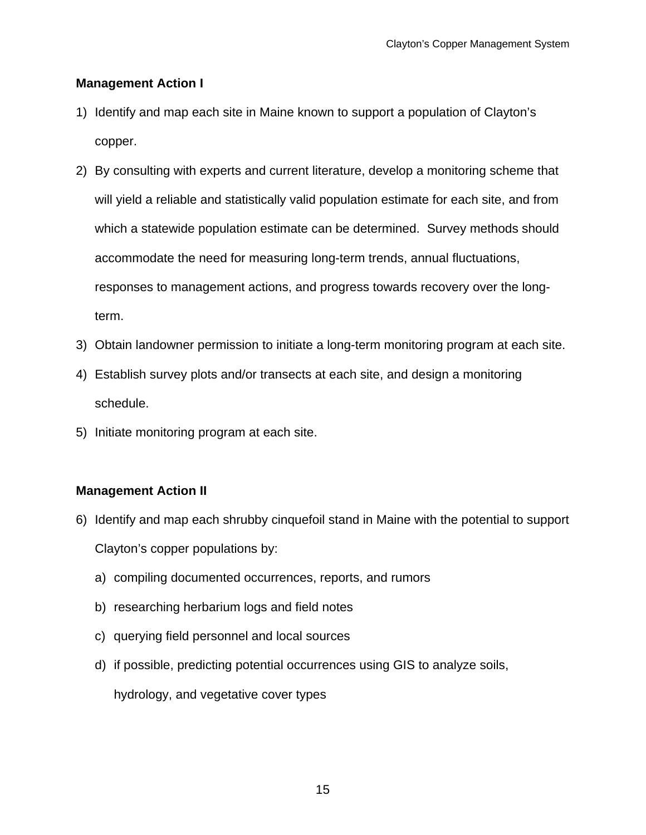## **Management Action I**

- 1) Identify and map each site in Maine known to support a population of Clayton's copper.
- 2) By consulting with experts and current literature, develop a monitoring scheme that will yield a reliable and statistically valid population estimate for each site, and from which a statewide population estimate can be determined. Survey methods should accommodate the need for measuring long-term trends, annual fluctuations, responses to management actions, and progress towards recovery over the longterm.
- 3) Obtain landowner permission to initiate a long-term monitoring program at each site.
- 4) Establish survey plots and/or transects at each site, and design a monitoring schedule.
- 5) Initiate monitoring program at each site.

## **Management Action II**

- 6) Identify and map each shrubby cinquefoil stand in Maine with the potential to support Clayton's copper populations by:
	- a) compiling documented occurrences, reports, and rumors
	- b) researching herbarium logs and field notes
	- c) querying field personnel and local sources
	- d) if possible, predicting potential occurrences using GIS to analyze soils,

hydrology, and vegetative cover types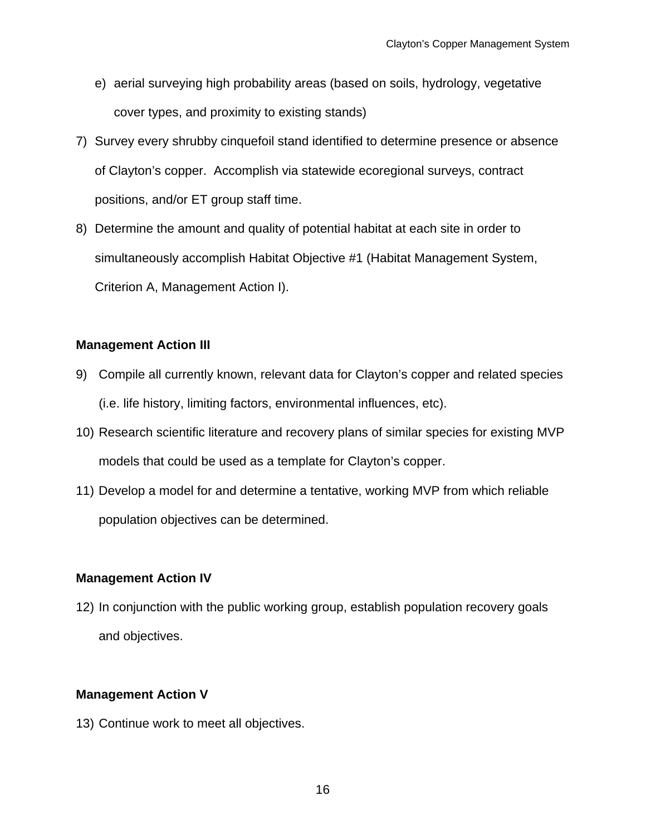- e) aerial surveying high probability areas (based on soils, hydrology, vegetative cover types, and proximity to existing stands)
- 7) Survey every shrubby cinquefoil stand identified to determine presence or absence of Clayton's copper. Accomplish via statewide ecoregional surveys, contract positions, and/or ET group staff time.
- 8) Determine the amount and quality of potential habitat at each site in order to simultaneously accomplish Habitat Objective #1 (Habitat Management System, Criterion A, Management Action I).

## **Management Action III**

- 9) Compile all currently known, relevant data for Clayton's copper and related species (i.e. life history, limiting factors, environmental influences, etc).
- 10) Research scientific literature and recovery plans of similar species for existing MVP models that could be used as a template for Clayton's copper.
- 11) Develop a model for and determine a tentative, working MVP from which reliable population objectives can be determined.

## **Management Action IV**

12) In conjunction with the public working group, establish population recovery goals and objectives.

## **Management Action V**

13) Continue work to meet all objectives.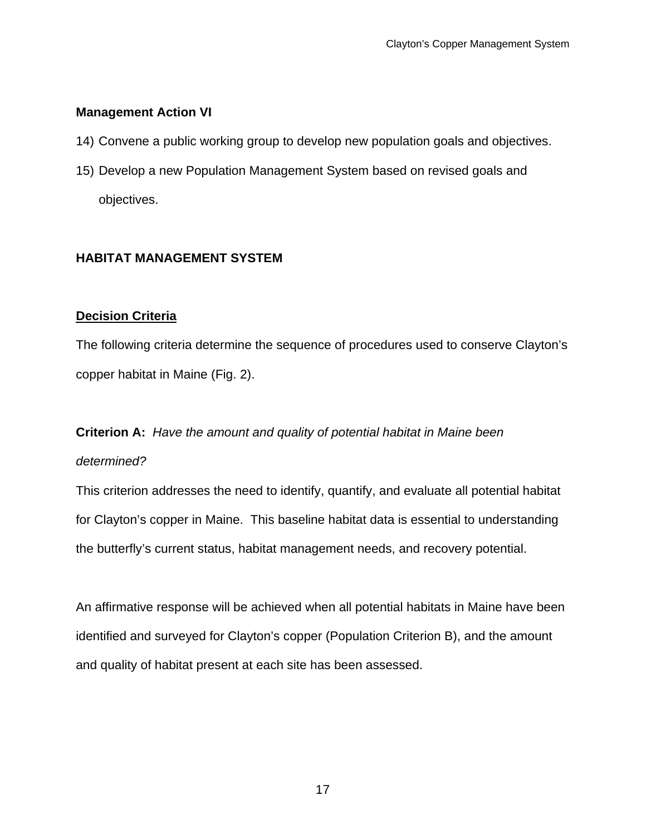## **Management Action VI**

- 14) Convene a public working group to develop new population goals and objectives.
- 15) Develop a new Population Management System based on revised goals and objectives.

## **HABITAT MANAGEMENT SYSTEM**

## **Decision Criteria**

The following criteria determine the sequence of procedures used to conserve Clayton's copper habitat in Maine (Fig. 2).

## **Criterion A:** *Have the amount and quality of potential habitat in Maine been determined?*

This criterion addresses the need to identify, quantify, and evaluate all potential habitat for Clayton's copper in Maine. This baseline habitat data is essential to understanding the butterfly's current status, habitat management needs, and recovery potential.

An affirmative response will be achieved when all potential habitats in Maine have been identified and surveyed for Clayton's copper (Population Criterion B), and the amount and quality of habitat present at each site has been assessed.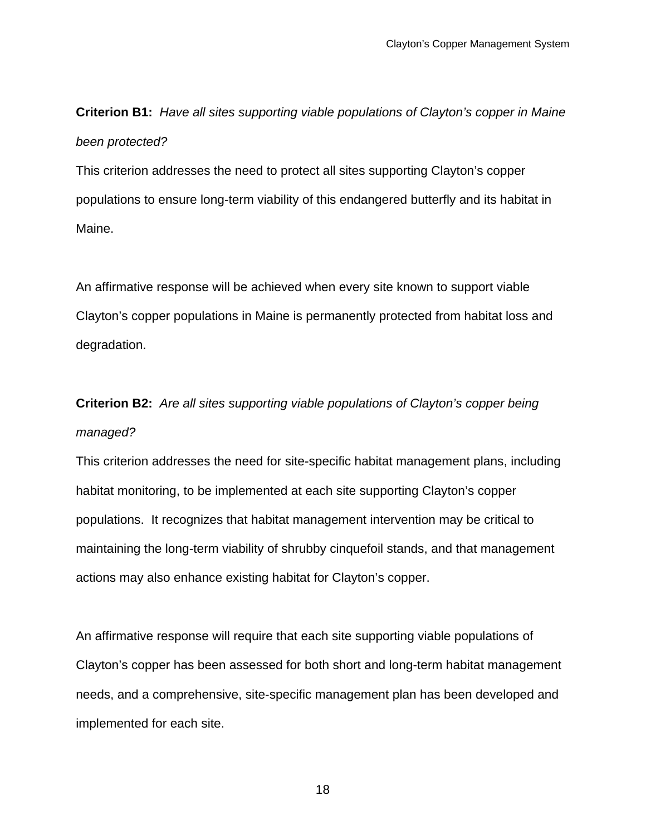**Criterion B1:** *Have all sites supporting viable populations of Clayton's copper in Maine been protected?* 

This criterion addresses the need to protect all sites supporting Clayton's copper populations to ensure long-term viability of this endangered butterfly and its habitat in Maine.

An affirmative response will be achieved when every site known to support viable Clayton's copper populations in Maine is permanently protected from habitat loss and degradation.

# **Criterion B2:** *Are all sites supporting viable populations of Clayton's copper being managed?*

This criterion addresses the need for site-specific habitat management plans, including habitat monitoring, to be implemented at each site supporting Clayton's copper populations. It recognizes that habitat management intervention may be critical to maintaining the long-term viability of shrubby cinquefoil stands, and that management actions may also enhance existing habitat for Clayton's copper.

An affirmative response will require that each site supporting viable populations of Clayton's copper has been assessed for both short and long-term habitat management needs, and a comprehensive, site-specific management plan has been developed and implemented for each site.

18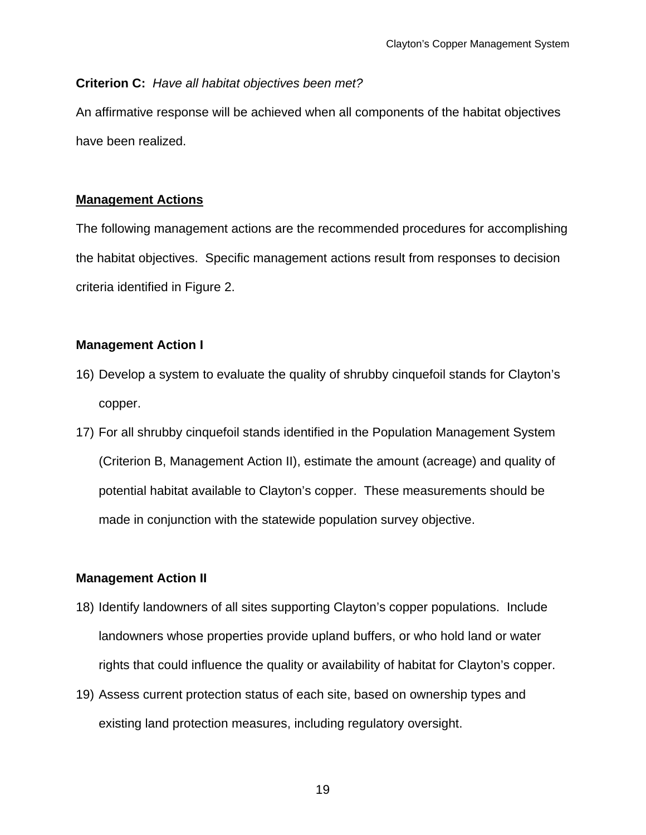## **Criterion C:** *Have all habitat objectives been met?*

An affirmative response will be achieved when all components of the habitat objectives have been realized.

## **Management Actions**

The following management actions are the recommended procedures for accomplishing the habitat objectives. Specific management actions result from responses to decision criteria identified in Figure 2.

## **Management Action I**

- 16) Develop a system to evaluate the quality of shrubby cinquefoil stands for Clayton's copper.
- 17) For all shrubby cinquefoil stands identified in the Population Management System (Criterion B, Management Action II), estimate the amount (acreage) and quality of potential habitat available to Clayton's copper. These measurements should be made in conjunction with the statewide population survey objective.

## **Management Action II**

- 18) Identify landowners of all sites supporting Clayton's copper populations. Include landowners whose properties provide upland buffers, or who hold land or water rights that could influence the quality or availability of habitat for Clayton's copper.
- 19) Assess current protection status of each site, based on ownership types and existing land protection measures, including regulatory oversight.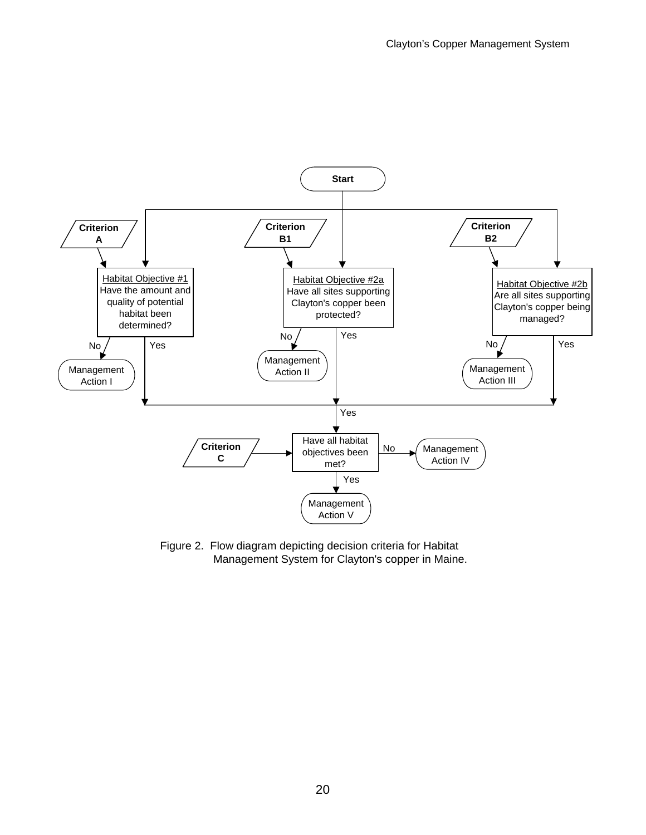

Figure 2. Flow diagram depicting decision criteria for Habitat Management System for Clayton's copper in Maine.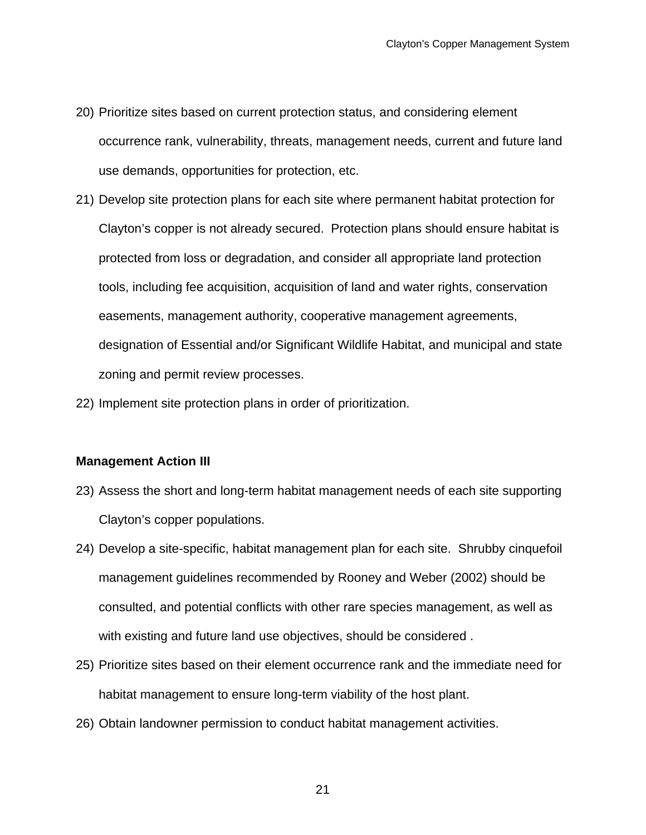- 20) Prioritize sites based on current protection status, and considering element occurrence rank, vulnerability, threats, management needs, current and future land use demands, opportunities for protection, etc.
- 21) Develop site protection plans for each site where permanent habitat protection for Clayton's copper is not already secured. Protection plans should ensure habitat is protected from loss or degradation, and consider all appropriate land protection tools, including fee acquisition, acquisition of land and water rights, conservation easements, management authority, cooperative management agreements, designation of Essential and/or Significant Wildlife Habitat, and municipal and state zoning and permit review processes.
- 22) Implement site protection plans in order of prioritization.

#### **Management Action III**

- 23) Assess the short and long-term habitat management needs of each site supporting Clayton's copper populations.
- 24) Develop a site-specific, habitat management plan for each site. Shrubby cinquefoil management guidelines recommended by Rooney and Weber (2002) should be consulted, and potential conflicts with other rare species management, as well as with existing and future land use objectives, should be considered .
- 25) Prioritize sites based on their element occurrence rank and the immediate need for habitat management to ensure long-term viability of the host plant.
- 26) Obtain landowner permission to conduct habitat management activities.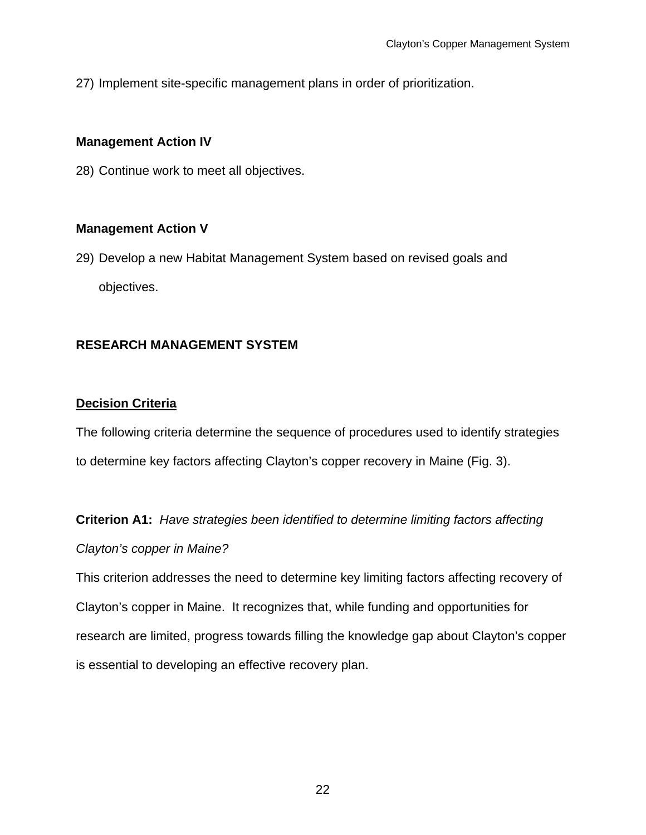27) Implement site-specific management plans in order of prioritization.

## **Management Action IV**

28) Continue work to meet all objectives.

## **Management Action V**

29) Develop a new Habitat Management System based on revised goals and objectives.

## **RESEARCH MANAGEMENT SYSTEM**

## **Decision Criteria**

The following criteria determine the sequence of procedures used to identify strategies to determine key factors affecting Clayton's copper recovery in Maine (Fig. 3).

**Criterion A1:** *Have strategies been identified to determine limiting factors affecting Clayton's copper in Maine?* 

This criterion addresses the need to determine key limiting factors affecting recovery of Clayton's copper in Maine. It recognizes that, while funding and opportunities for research are limited, progress towards filling the knowledge gap about Clayton's copper is essential to developing an effective recovery plan.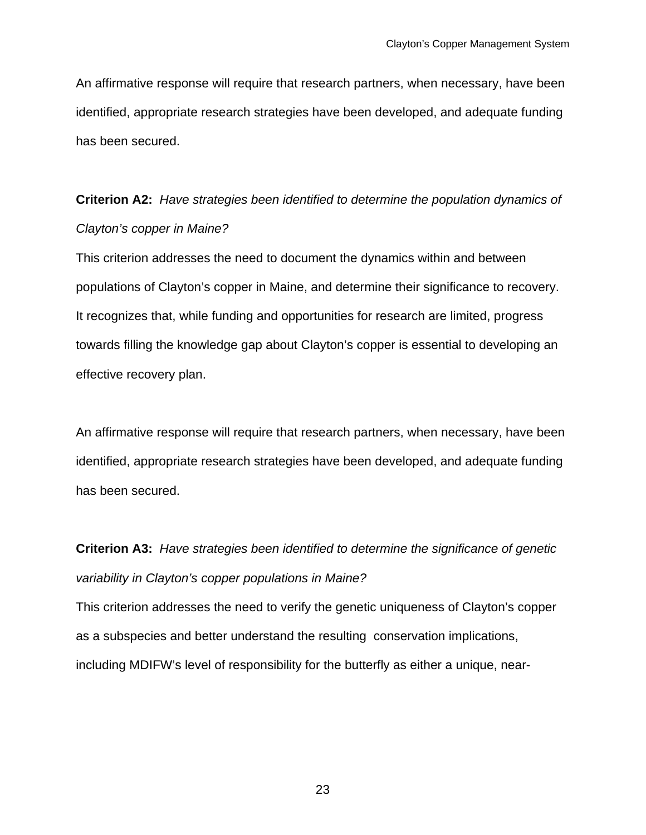An affirmative response will require that research partners, when necessary, have been identified, appropriate research strategies have been developed, and adequate funding has been secured.

## **Criterion A2:** *Have strategies been identified to determine the population dynamics of Clayton's copper in Maine?*

This criterion addresses the need to document the dynamics within and between populations of Clayton's copper in Maine, and determine their significance to recovery. It recognizes that, while funding and opportunities for research are limited, progress towards filling the knowledge gap about Clayton's copper is essential to developing an effective recovery plan.

An affirmative response will require that research partners, when necessary, have been identified, appropriate research strategies have been developed, and adequate funding has been secured.

## **Criterion A3:** *Have strategies been identified to determine the significance of genetic variability in Clayton's copper populations in Maine?*

This criterion addresses the need to verify the genetic uniqueness of Clayton's copper as a subspecies and better understand the resulting conservation implications, including MDIFW's level of responsibility for the butterfly as either a unique, near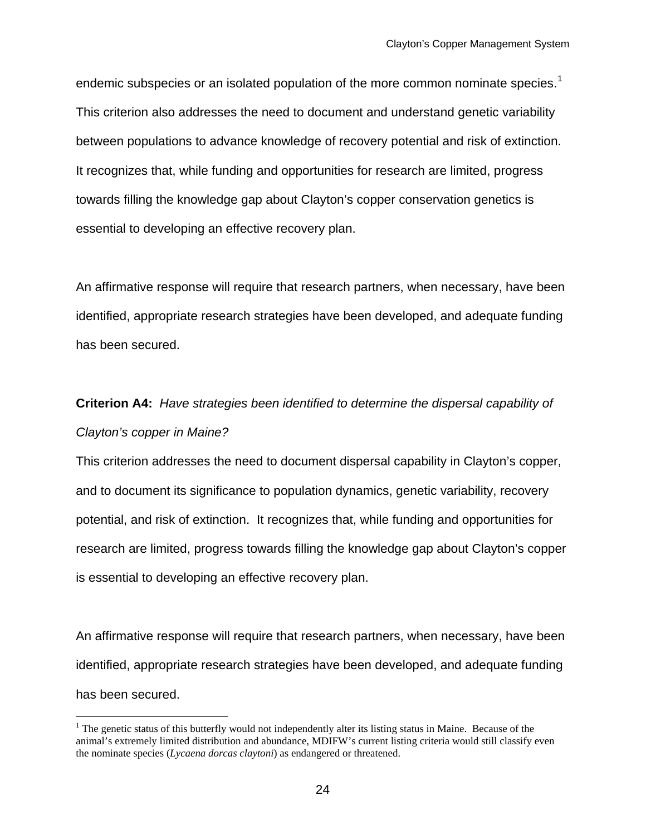<span id="page-23-0"></span>endemic subspecies or an isolated population of the more common nominate species.<sup>[1](#page-23-0)</sup> This criterion also addresses the need to document and understand genetic variability between populations to advance knowledge of recovery potential and risk of extinction. It recognizes that, while funding and opportunities for research are limited, progress towards filling the knowledge gap about Clayton's copper conservation genetics is essential to developing an effective recovery plan.

An affirmative response will require that research partners, when necessary, have been identified, appropriate research strategies have been developed, and adequate funding has been secured.

## **Criterion A4:** *Have strategies been identified to determine the dispersal capability of Clayton's copper in Maine?*

This criterion addresses the need to document dispersal capability in Clayton's copper, and to document its significance to population dynamics, genetic variability, recovery potential, and risk of extinction. It recognizes that, while funding and opportunities for research are limited, progress towards filling the knowledge gap about Clayton's copper is essential to developing an effective recovery plan.

An affirmative response will require that research partners, when necessary, have been identified, appropriate research strategies have been developed, and adequate funding has been secured.

1

 $1$ <sup>1</sup> The genetic status of this butterfly would not independently alter its listing status in Maine. Because of the animal's extremely limited distribution and abundance, MDIFW's current listing criteria would still classify even the nominate species (*Lycaena dorcas claytoni*) as endangered or threatened.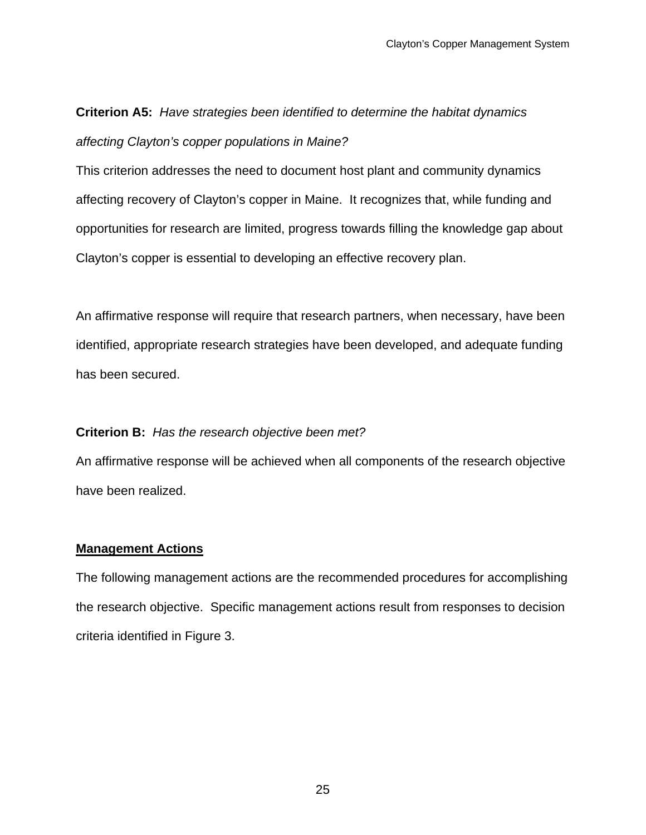# **Criterion A5:** *Have strategies been identified to determine the habitat dynamics affecting Clayton's copper populations in Maine?*

This criterion addresses the need to document host plant and community dynamics affecting recovery of Clayton's copper in Maine. It recognizes that, while funding and opportunities for research are limited, progress towards filling the knowledge gap about Clayton's copper is essential to developing an effective recovery plan.

An affirmative response will require that research partners, when necessary, have been identified, appropriate research strategies have been developed, and adequate funding has been secured.

## **Criterion B:** *Has the research objective been met?*

An affirmative response will be achieved when all components of the research objective have been realized.

## **Management Actions**

The following management actions are the recommended procedures for accomplishing the research objective. Specific management actions result from responses to decision criteria identified in Figure 3.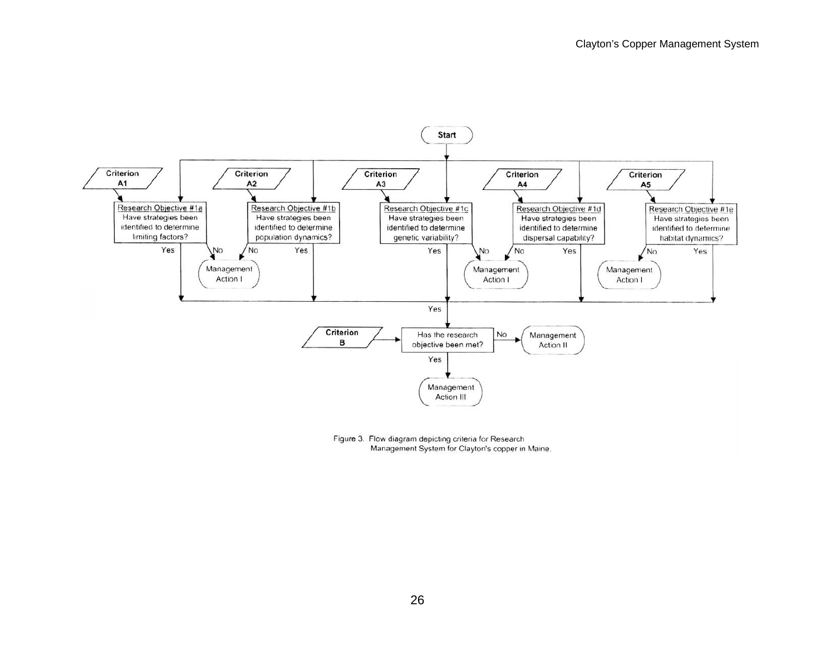

Figure 3. Flow diagram depicting criteria for Research Management System for Clayton's copper in Maine.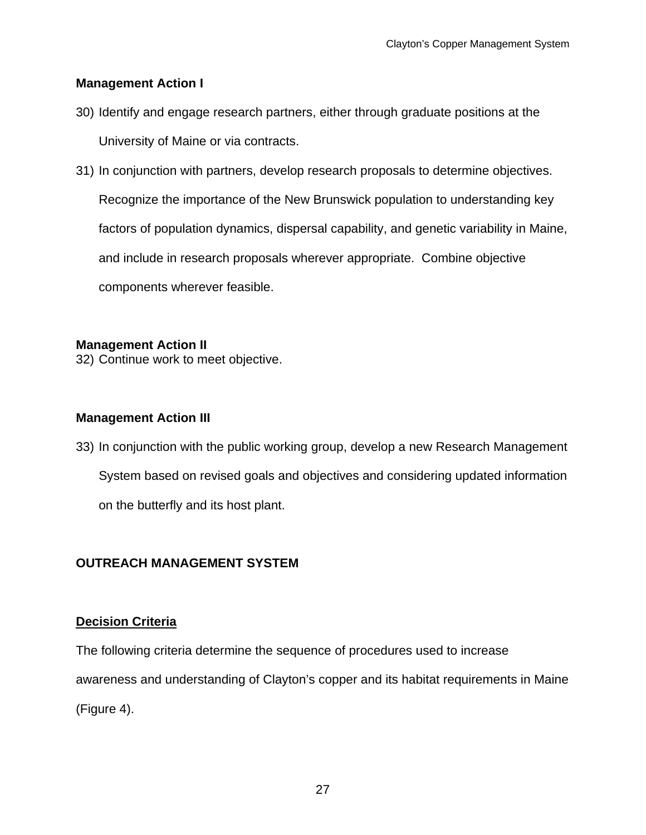## **Management Action I**

- 30) Identify and engage research partners, either through graduate positions at the University of Maine or via contracts.
- 31) In conjunction with partners, develop research proposals to determine objectives. Recognize the importance of the New Brunswick population to understanding key factors of population dynamics, dispersal capability, and genetic variability in Maine, and include in research proposals wherever appropriate. Combine objective components wherever feasible.

### **Management Action II**

32) Continue work to meet objective.

### **Management Action III**

33) In conjunction with the public working group, develop a new Research Management System based on revised goals and objectives and considering updated information on the butterfly and its host plant.

## **OUTREACH MANAGEMENT SYSTEM**

### **Decision Criteria**

The following criteria determine the sequence of procedures used to increase awareness and understanding of Clayton's copper and its habitat requirements in Maine (Figure 4).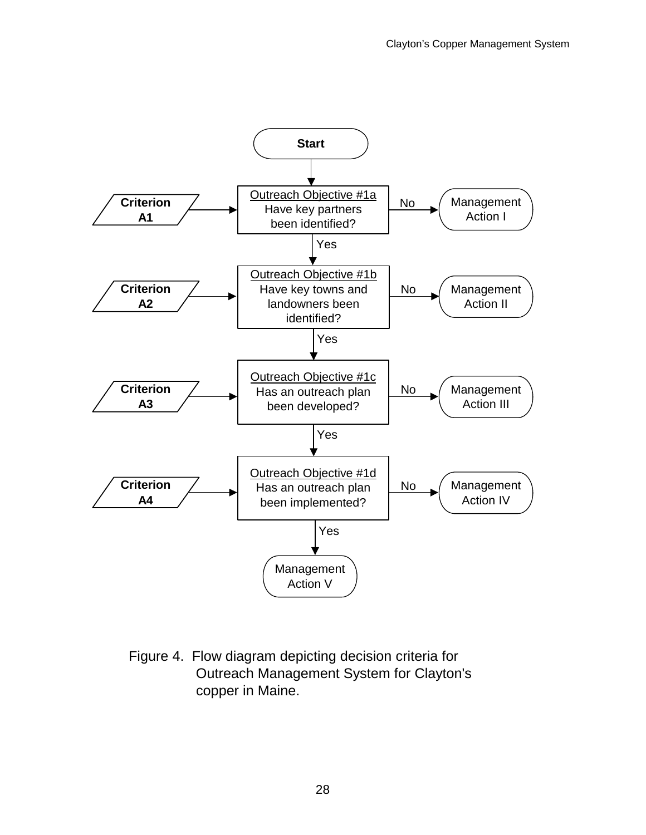

Figure 4. Flow diagram depicting decision criteria for Outreach Management System for Clayton's copper in Maine.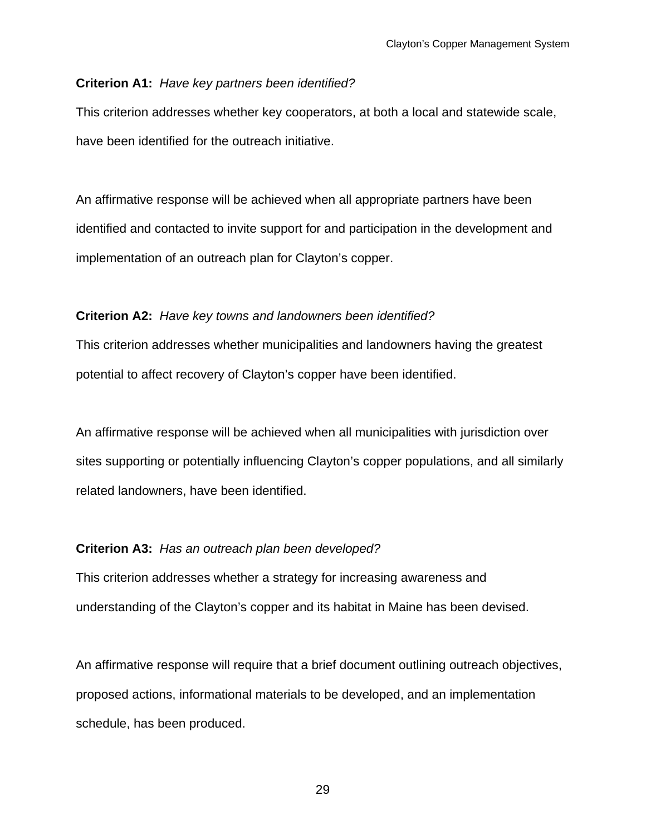#### **Criterion A1:** *Have key partners been identified?*

This criterion addresses whether key cooperators, at both a local and statewide scale, have been identified for the outreach initiative.

An affirmative response will be achieved when all appropriate partners have been identified and contacted to invite support for and participation in the development and implementation of an outreach plan for Clayton's copper.

#### **Criterion A2:** *Have key towns and landowners been identified?*

This criterion addresses whether municipalities and landowners having the greatest potential to affect recovery of Clayton's copper have been identified.

An affirmative response will be achieved when all municipalities with jurisdiction over sites supporting or potentially influencing Clayton's copper populations, and all similarly related landowners, have been identified.

#### **Criterion A3:** *Has an outreach plan been developed?*

This criterion addresses whether a strategy for increasing awareness and understanding of the Clayton's copper and its habitat in Maine has been devised.

An affirmative response will require that a brief document outlining outreach objectives, proposed actions, informational materials to be developed, and an implementation schedule, has been produced.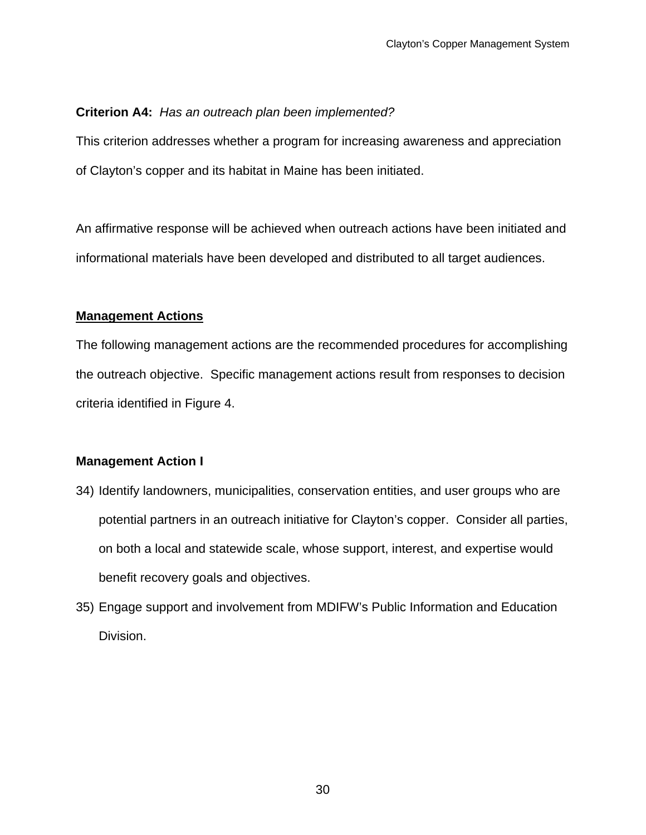## **Criterion A4:** *Has an outreach plan been implemented?*

This criterion addresses whether a program for increasing awareness and appreciation of Clayton's copper and its habitat in Maine has been initiated.

An affirmative response will be achieved when outreach actions have been initiated and informational materials have been developed and distributed to all target audiences.

## **Management Actions**

The following management actions are the recommended procedures for accomplishing the outreach objective. Specific management actions result from responses to decision criteria identified in Figure 4.

## **Management Action I**

- 34) Identify landowners, municipalities, conservation entities, and user groups who are potential partners in an outreach initiative for Clayton's copper. Consider all parties, on both a local and statewide scale, whose support, interest, and expertise would benefit recovery goals and objectives.
- 35) Engage support and involvement from MDIFW's Public Information and Education Division.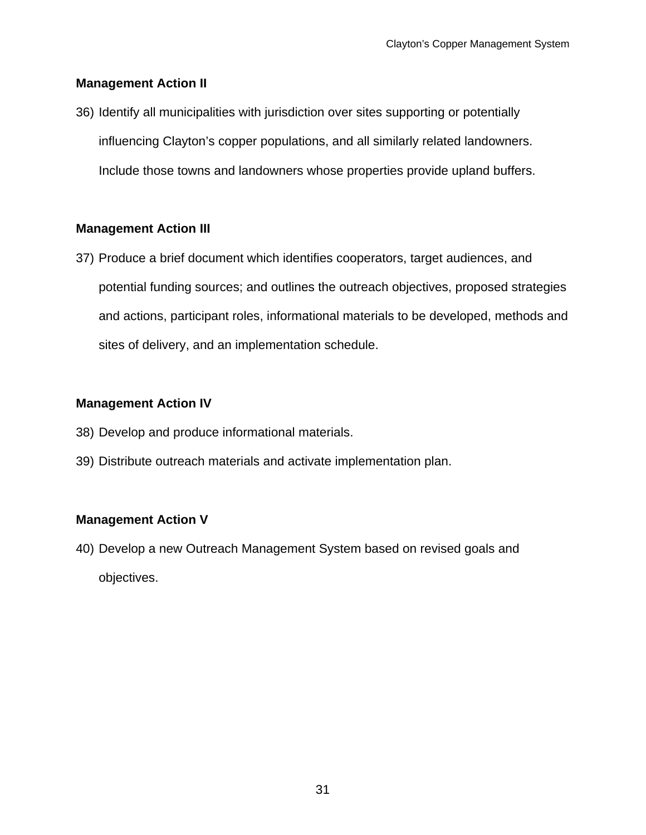## **Management Action II**

36) Identify all municipalities with jurisdiction over sites supporting or potentially influencing Clayton's copper populations, and all similarly related landowners. Include those towns and landowners whose properties provide upland buffers.

## **Management Action III**

37) Produce a brief document which identifies cooperators, target audiences, and potential funding sources; and outlines the outreach objectives, proposed strategies and actions, participant roles, informational materials to be developed, methods and sites of delivery, and an implementation schedule.

## **Management Action IV**

- 38) Develop and produce informational materials.
- 39) Distribute outreach materials and activate implementation plan.

## **Management Action V**

40) Develop a new Outreach Management System based on revised goals and objectives.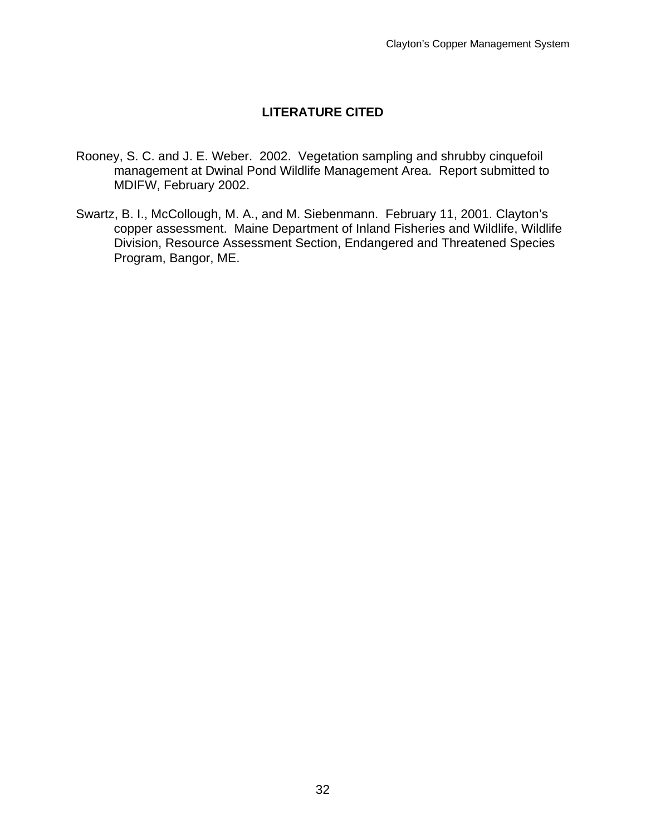## **LITERATURE CITED**

- Rooney, S. C. and J. E. Weber. 2002. Vegetation sampling and shrubby cinquefoil management at Dwinal Pond Wildlife Management Area. Report submitted to MDIFW, February 2002.
- Swartz, B. I., McCollough, M. A., and M. Siebenmann. February 11, 2001. Clayton's copper assessment. Maine Department of Inland Fisheries and Wildlife, Wildlife Division, Resource Assessment Section, Endangered and Threatened Species Program, Bangor, ME.